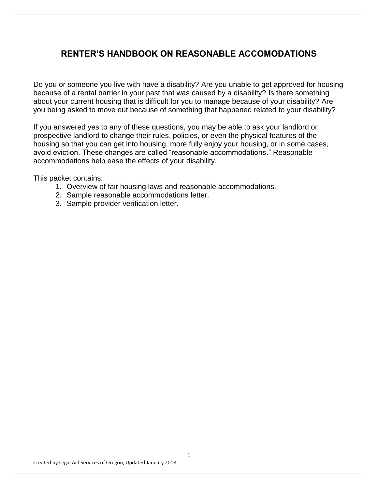# **RENTER'S HANDBOOK ON REASONABLE ACCOMODATIONS**

Do you or someone you live with have a disability? Are you unable to get approved for housing because of a rental barrier in your past that was caused by a disability? Is there something about your current housing that is difficult for you to manage because of your disability? Are you being asked to move out because of something that happened related to your disability?

If you answered yes to any of these questions, you may be able to ask your landlord or prospective landlord to change their rules, policies, or even the physical features of the housing so that you can get into housing, more fully enjoy your housing, or in some cases, avoid eviction. These changes are called "reasonable accommodations." Reasonable accommodations help ease the effects of your disability.

This packet contains:

- 1. Overview of fair housing laws and reasonable accommodations.
- 2. Sample reasonable accommodations letter.
- 3. Sample provider verification letter.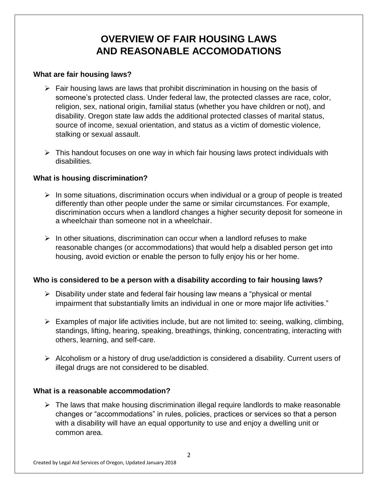# **OVERVIEW OF FAIR HOUSING LAWS AND REASONABLE ACCOMODATIONS**

#### **What are fair housing laws?**

- $\triangleright$  Fair housing laws are laws that prohibit discrimination in housing on the basis of someone's protected class. Under federal law, the protected classes are race, color, religion, sex, national origin, familial status (whether you have children or not), and disability. Oregon state law adds the additional protected classes of marital status, source of income, sexual orientation, and status as a victim of domestic violence, stalking or sexual assault.
- $\triangleright$  This handout focuses on one way in which fair housing laws protect individuals with disabilities.

# **What is housing discrimination?**

- $\triangleright$  In some situations, discrimination occurs when individual or a group of people is treated differently than other people under the same or similar circumstances. For example, discrimination occurs when a landlord changes a higher security deposit for someone in a wheelchair than someone not in a wheelchair.
- $\triangleright$  In other situations, discrimination can occur when a landlord refuses to make reasonable changes (or accommodations) that would help a disabled person get into housing, avoid eviction or enable the person to fully enjoy his or her home.

# **Who is considered to be a person with a disability according to fair housing laws?**

- $\triangleright$  Disability under state and federal fair housing law means a "physical or mental impairment that substantially limits an individual in one or more major life activities."
- $\triangleright$  Examples of major life activities include, but are not limited to: seeing, walking, climbing, standings, lifting, hearing, speaking, breathings, thinking, concentrating, interacting with others, learning, and self-care.
- $\triangleright$  Alcoholism or a history of drug use/addiction is considered a disability. Current users of illegal drugs are not considered to be disabled.

#### **What is a reasonable accommodation?**

 $\triangleright$  The laws that make housing discrimination illegal require landlords to make reasonable changes or "accommodations" in rules, policies, practices or services so that a person with a disability will have an equal opportunity to use and enjoy a dwelling unit or common area.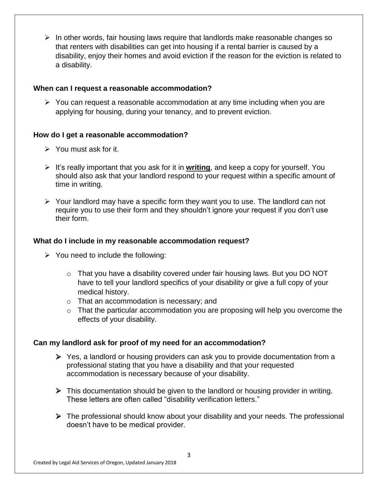$\triangleright$  In other words, fair housing laws require that landlords make reasonable changes so that renters with disabilities can get into housing if a rental barrier is caused by a disability, enjoy their homes and avoid eviction if the reason for the eviction is related to a disability.

#### **When can I request a reasonable accommodation?**

 $\triangleright$  You can request a reasonable accommodation at any time including when you are applying for housing, during your tenancy, and to prevent eviction.

#### **How do I get a reasonable accommodation?**

- $\triangleright$  You must ask for it.
- $\triangleright$  It's really important that you ask for it in **writing**, and keep a copy for yourself. You should also ask that your landlord respond to your request within a specific amount of time in writing.
- $\triangleright$  Your landlord may have a specific form they want you to use. The landlord can not require you to use their form and they shouldn't ignore your request if you don't use their form.

#### **What do I include in my reasonable accommodation request?**

- $\triangleright$  You need to include the following:
	- o That you have a disability covered under fair housing laws. But you DO NOT have to tell your landlord specifics of your disability or give a full copy of your medical history.
	- o That an accommodation is necessary; and
	- o That the particular accommodation you are proposing will help you overcome the effects of your disability.

#### **Can my landlord ask for proof of my need for an accommodation?**

- Yes, a landlord or housing providers can ask you to provide documentation from a professional stating that you have a disability and that your requested accommodation is necessary because of your disability.
- $\triangleright$  This documentation should be given to the landlord or housing provider in writing. These letters are often called "disability verification letters."
- $\triangleright$  The professional should know about your disability and your needs. The professional doesn't have to be medical provider.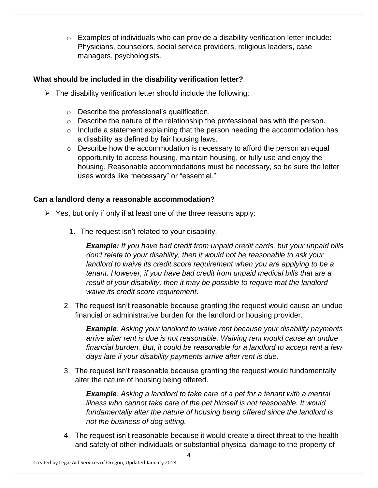$\circ$  Examples of individuals who can provide a disability verification letter include: Physicians, counselors, social service providers, religious leaders, case managers, psychologists.

# **What should be included in the disability verification letter?**

- $\triangleright$  The disability verification letter should include the following:
	- o Describe the professional's qualification.
	- $\circ$  Describe the nature of the relationship the professional has with the person.
	- o Include a statement explaining that the person needing the accommodation has a disability as defined by fair housing laws.
	- $\circ$  Describe how the accommodation is necessary to afford the person an equal opportunity to access housing, maintain housing, or fully use and enjoy the housing. Reasonable accommodations must be necessary, so be sure the letter uses words like "necessary" or "essential."

#### **Can a landlord deny a reasonable accommodation?**

- $\triangleright$  Yes, but only if only if at least one of the three reasons apply:
	- 1. The request isn't related to your disability.

*Example: If you have bad credit from unpaid credit cards, but your unpaid bills don't relate to your disability, then it would not be reasonable to ask your landlord to waive its credit score requirement when you are applying to be a tenant. However, if you have bad credit from unpaid medical bills that are a result of your disability, then it may be possible to require that the landlord waive its credit score requirement*.

2. The request isn't reasonable because granting the request would cause an undue financial or administrative burden for the landlord or housing provider.

*Example: Asking your landlord to waive rent because your disability payments arrive after rent is due is not reasonable. Waiving rent would cause an undue financial burden. But, it could be reasonable for a landlord to accept rent a few days late if your disability payments arrive after rent is due.* 

3. The request isn't reasonable because granting the request would fundamentally alter the nature of housing being offered.

*Example: Asking a landlord to take care of a pet for a tenant with a mental illness who cannot take care of the pet himself is not reasonable. It would fundamentally alter the nature of housing being offered since the landlord is not the business of dog sitting.* 

4. The request isn't reasonable because it would create a direct threat to the health and safety of other individuals or substantial physical damage to the property of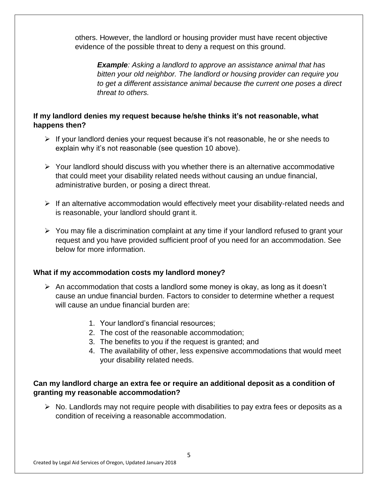others. However, the landlord or housing provider must have recent objective evidence of the possible threat to deny a request on this ground.

*Example: Asking a landlord to approve an assistance animal that has bitten your old neighbor. The landlord or housing provider can require you to get a different assistance animal because the current one poses a direct threat to others.* 

# **If my landlord denies my request because he/she thinks it's not reasonable, what happens then?**

- $\triangleright$  If your landlord denies your request because it's not reasonable, he or she needs to explain why it's not reasonable (see question 10 above).
- $\triangleright$  Your landlord should discuss with you whether there is an alternative accommodative that could meet your disability related needs without causing an undue financial, administrative burden, or posing a direct threat.
- $\triangleright$  If an alternative accommodation would effectively meet your disability-related needs and is reasonable, your landlord should grant it.
- $\triangleright$  You may file a discrimination complaint at any time if your landlord refused to grant your request and you have provided sufficient proof of you need for an accommodation. See below for more information.

# **What if my accommodation costs my landlord money?**

- $\triangleright$  An accommodation that costs a landlord some money is okay, as long as it doesn't cause an undue financial burden. Factors to consider to determine whether a request will cause an undue financial burden are:
	- 1. Your landlord's financial resources;
	- 2. The cost of the reasonable accommodation;
	- 3. The benefits to you if the request is granted; and
	- 4. The availability of other, less expensive accommodations that would meet your disability related needs.

# **Can my landlord charge an extra fee or require an additional deposit as a condition of granting my reasonable accommodation?**

 $\triangleright$  No. Landlords may not require people with disabilities to pay extra fees or deposits as a condition of receiving a reasonable accommodation.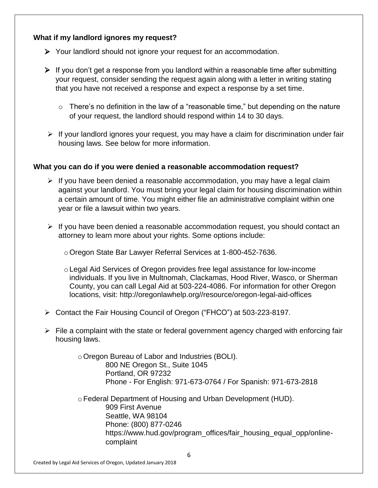### **What if my landlord ignores my request?**

- Your landlord should not ignore your request for an accommodation.
- $\triangleright$  If you don't get a response from you landlord within a reasonable time after submitting your request, consider sending the request again along with a letter in writing stating that you have not received a response and expect a response by a set time.
	- $\circ$  There's no definition in the law of a "reasonable time," but depending on the nature of your request, the landlord should respond within 14 to 30 days.
- $\triangleright$  If your landlord ignores your request, you may have a claim for discrimination under fair housing laws. See below for more information.

#### **What you can do if you were denied a reasonable accommodation request?**

- $\triangleright$  If you have been denied a reasonable accommodation, you may have a legal claim against your landlord. You must bring your legal claim for housing discrimination within a certain amount of time. You might either file an administrative complaint within one year or file a lawsuit within two years.
- $\triangleright$  If you have been denied a reasonable accommodation request, you should contact an attorney to learn more about your rights. Some options include:
	- oOregon State Bar Lawyer Referral Services at 1-800-452-7636.
	- oLegal Aid Services of Oregon provides free legal assistance for low-income individuals. If you live in Multnomah, Clackamas, Hood River, Wasco, or Sherman County, you can call Legal Aid at 503-224-4086. For information for other Oregon locations, visit: http://oregonlawhelp.org//resource/oregon-legal-aid-offices
- Contact the Fair Housing Council of Oregon ("FHCO") at 503-223-8197.
- $\triangleright$  File a complaint with the state or federal government agency charged with enforcing fair housing laws.

oOregon Bureau of Labor and Industries (BOLI). 800 NE Oregon St., Suite 1045 Portland, OR 97232 Phone - For English: 971-673-0764 / For Spanish: 971-673-2818

oFederal Department of Housing and Urban Development (HUD). 909 First Avenue Seattle, WA 98104 Phone: (800) 877-0246 https://www.hud.gov/program\_offices/fair\_housing\_equal\_opp/onlinecomplaint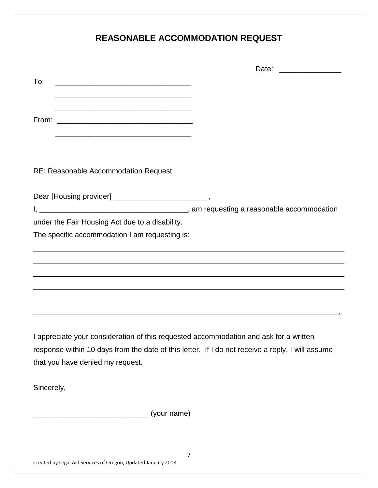# **REASONABLE ACCOMMODATION REQUEST**

| To:<br><u> 1989 - Johann John Stone, mars eta biztanleria (h. 1982).</u><br><u> 1989 - Johann Stein, mars an deutscher Stein und der Stein und der Stein und der Stein und der Stein und der</u> |  |
|--------------------------------------------------------------------------------------------------------------------------------------------------------------------------------------------------|--|
|                                                                                                                                                                                                  |  |
|                                                                                                                                                                                                  |  |
| the control of the control of the control of the control of the control of the control of                                                                                                        |  |
| RE: Reasonable Accommodation Request                                                                                                                                                             |  |
|                                                                                                                                                                                                  |  |
|                                                                                                                                                                                                  |  |
| under the Fair Housing Act due to a disability.                                                                                                                                                  |  |
| The specific accommodation I am requesting is:                                                                                                                                                   |  |
|                                                                                                                                                                                                  |  |
|                                                                                                                                                                                                  |  |
|                                                                                                                                                                                                  |  |
|                                                                                                                                                                                                  |  |
|                                                                                                                                                                                                  |  |
|                                                                                                                                                                                                  |  |
|                                                                                                                                                                                                  |  |
| I appreciate your consideration of this requested accommodation and ask for a written                                                                                                            |  |
| response within 10 days from the date of this letter. If I do not receive a reply, I will assume                                                                                                 |  |
| that you have denied my request.                                                                                                                                                                 |  |
|                                                                                                                                                                                                  |  |
| Sincerely,                                                                                                                                                                                       |  |
| (your name)                                                                                                                                                                                      |  |
|                                                                                                                                                                                                  |  |